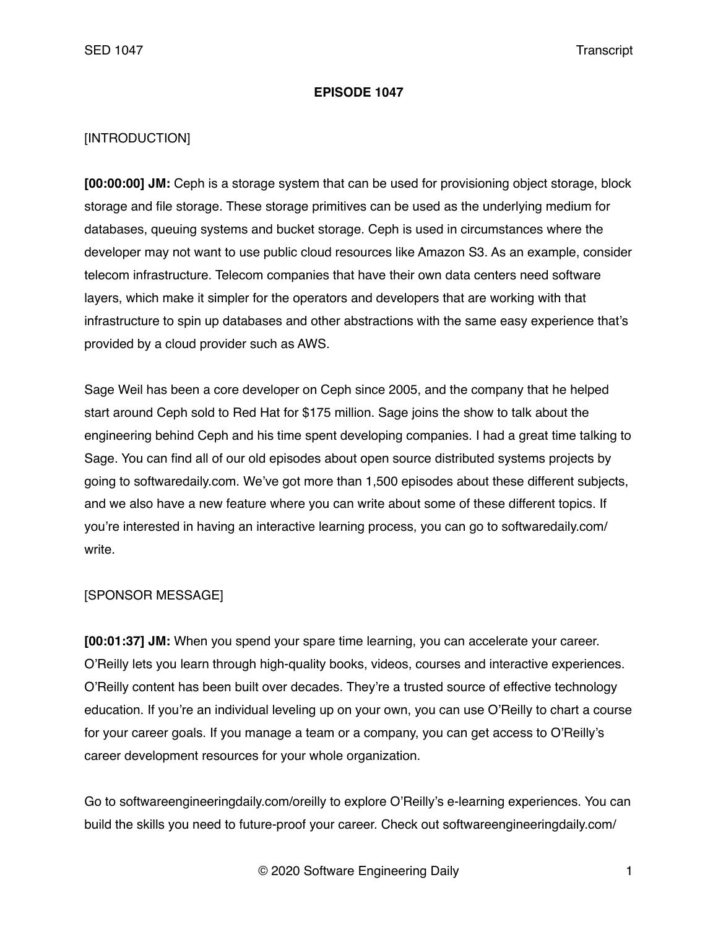### **EPISODE 1047**

## [INTRODUCTION]

**[00:00:00] JM:** Ceph is a storage system that can be used for provisioning object storage, block storage and file storage. These storage primitives can be used as the underlying medium for databases, queuing systems and bucket storage. Ceph is used in circumstances where the developer may not want to use public cloud resources like Amazon S3. As an example, consider telecom infrastructure. Telecom companies that have their own data centers need software layers, which make it simpler for the operators and developers that are working with that infrastructure to spin up databases and other abstractions with the same easy experience that's provided by a cloud provider such as AWS.

Sage Weil has been a core developer on Ceph since 2005, and the company that he helped start around Ceph sold to Red Hat for \$175 million. Sage joins the show to talk about the engineering behind Ceph and his time spent developing companies. I had a great time talking to Sage. You can find all of our old episodes about open source distributed systems projects by going to softwaredaily.com. We've got more than 1,500 episodes about these different subjects, and we also have a new feature where you can write about some of these different topics. If you're interested in having an interactive learning process, you can go to softwaredaily.com/ write.

## [SPONSOR MESSAGE]

**[00:01:37] JM:** When you spend your spare time learning, you can accelerate your career. O'Reilly lets you learn through high-quality books, videos, courses and interactive experiences. O'Reilly content has been built over decades. They're a trusted source of effective technology education. If you're an individual leveling up on your own, you can use O'Reilly to chart a course for your career goals. If you manage a team or a company, you can get access to O'Reilly's career development resources for your whole organization.

Go to softwareengineeringdaily.com/oreilly to explore O'Reilly's e-learning experiences. You can build the skills you need to future-proof your career. Check out softwareengineeringdaily.com/

© 2020 Software Engineering Daily 1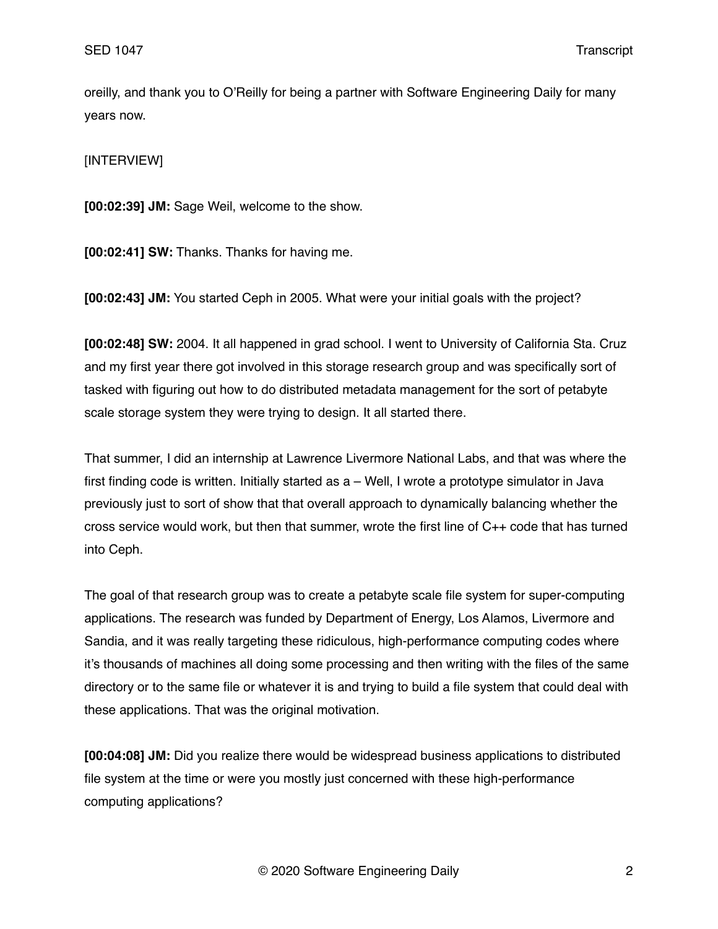oreilly, and thank you to O'Reilly for being a partner with Software Engineering Daily for many years now.

[INTERVIEW]

**[00:02:39] JM:** Sage Weil, welcome to the show.

**[00:02:41] SW:** Thanks. Thanks for having me.

**[00:02:43] JM:** You started Ceph in 2005. What were your initial goals with the project?

**[00:02:48] SW:** 2004. It all happened in grad school. I went to University of California Sta. Cruz and my first year there got involved in this storage research group and was specifically sort of tasked with figuring out how to do distributed metadata management for the sort of petabyte scale storage system they were trying to design. It all started there.

That summer, I did an internship at Lawrence Livermore National Labs, and that was where the first finding code is written. Initially started as a – Well, I wrote a prototype simulator in Java previously just to sort of show that that overall approach to dynamically balancing whether the cross service would work, but then that summer, wrote the first line of C++ code that has turned into Ceph.

The goal of that research group was to create a petabyte scale file system for super-computing applications. The research was funded by Department of Energy, Los Alamos, Livermore and Sandia, and it was really targeting these ridiculous, high-performance computing codes where it's thousands of machines all doing some processing and then writing with the files of the same directory or to the same file or whatever it is and trying to build a file system that could deal with these applications. That was the original motivation.

**[00:04:08] JM:** Did you realize there would be widespread business applications to distributed file system at the time or were you mostly just concerned with these high-performance computing applications?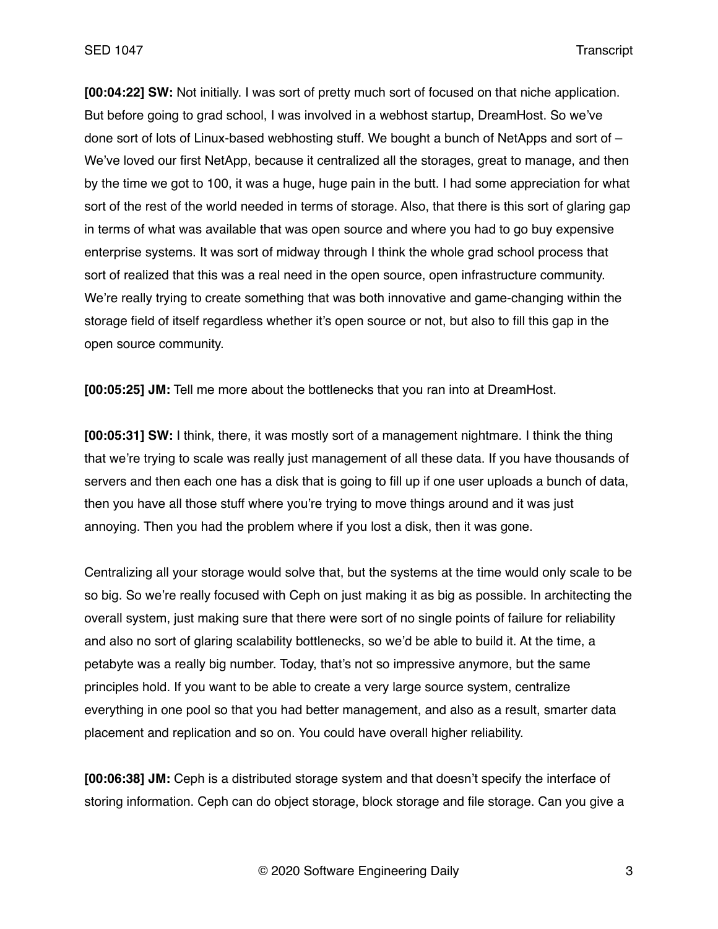**[00:04:22] SW:** Not initially. I was sort of pretty much sort of focused on that niche application. But before going to grad school, I was involved in a webhost startup, DreamHost. So we've done sort of lots of Linux-based webhosting stuff. We bought a bunch of NetApps and sort of – We've loved our first NetApp, because it centralized all the storages, great to manage, and then by the time we got to 100, it was a huge, huge pain in the butt. I had some appreciation for what sort of the rest of the world needed in terms of storage. Also, that there is this sort of glaring gap in terms of what was available that was open source and where you had to go buy expensive enterprise systems. It was sort of midway through I think the whole grad school process that sort of realized that this was a real need in the open source, open infrastructure community. We're really trying to create something that was both innovative and game-changing within the storage field of itself regardless whether it's open source or not, but also to fill this gap in the open source community.

**[00:05:25] JM:** Tell me more about the bottlenecks that you ran into at DreamHost.

**[00:05:31] SW:** I think, there, it was mostly sort of a management nightmare. I think the thing that we're trying to scale was really just management of all these data. If you have thousands of servers and then each one has a disk that is going to fill up if one user uploads a bunch of data, then you have all those stuff where you're trying to move things around and it was just annoying. Then you had the problem where if you lost a disk, then it was gone.

Centralizing all your storage would solve that, but the systems at the time would only scale to be so big. So we're really focused with Ceph on just making it as big as possible. In architecting the overall system, just making sure that there were sort of no single points of failure for reliability and also no sort of glaring scalability bottlenecks, so we'd be able to build it. At the time, a petabyte was a really big number. Today, that's not so impressive anymore, but the same principles hold. If you want to be able to create a very large source system, centralize everything in one pool so that you had better management, and also as a result, smarter data placement and replication and so on. You could have overall higher reliability.

**[00:06:38] JM:** Ceph is a distributed storage system and that doesn't specify the interface of storing information. Ceph can do object storage, block storage and file storage. Can you give a

© 2020 Software Engineering Daily 3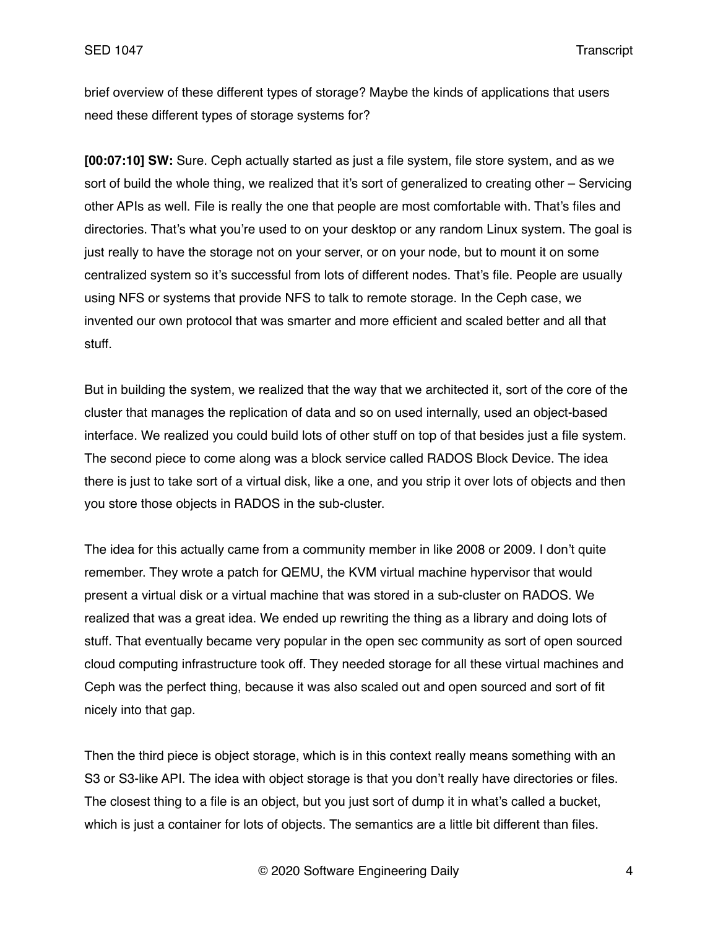brief overview of these different types of storage? Maybe the kinds of applications that users need these different types of storage systems for?

**[00:07:10] SW:** Sure. Ceph actually started as just a file system, file store system, and as we sort of build the whole thing, we realized that it's sort of generalized to creating other – Servicing other APIs as well. File is really the one that people are most comfortable with. That's files and directories. That's what you're used to on your desktop or any random Linux system. The goal is just really to have the storage not on your server, or on your node, but to mount it on some centralized system so it's successful from lots of different nodes. That's file. People are usually using NFS or systems that provide NFS to talk to remote storage. In the Ceph case, we invented our own protocol that was smarter and more efficient and scaled better and all that stuff.

But in building the system, we realized that the way that we architected it, sort of the core of the cluster that manages the replication of data and so on used internally, used an object-based interface. We realized you could build lots of other stuff on top of that besides just a file system. The second piece to come along was a block service called RADOS Block Device. The idea there is just to take sort of a virtual disk, like a one, and you strip it over lots of objects and then you store those objects in RADOS in the sub-cluster.

The idea for this actually came from a community member in like 2008 or 2009. I don't quite remember. They wrote a patch for QEMU, the KVM virtual machine hypervisor that would present a virtual disk or a virtual machine that was stored in a sub-cluster on RADOS. We realized that was a great idea. We ended up rewriting the thing as a library and doing lots of stuff. That eventually became very popular in the open sec community as sort of open sourced cloud computing infrastructure took off. They needed storage for all these virtual machines and Ceph was the perfect thing, because it was also scaled out and open sourced and sort of fit nicely into that gap.

Then the third piece is object storage, which is in this context really means something with an S3 or S3-like API. The idea with object storage is that you don't really have directories or files. The closest thing to a file is an object, but you just sort of dump it in what's called a bucket, which is just a container for lots of objects. The semantics are a little bit different than files.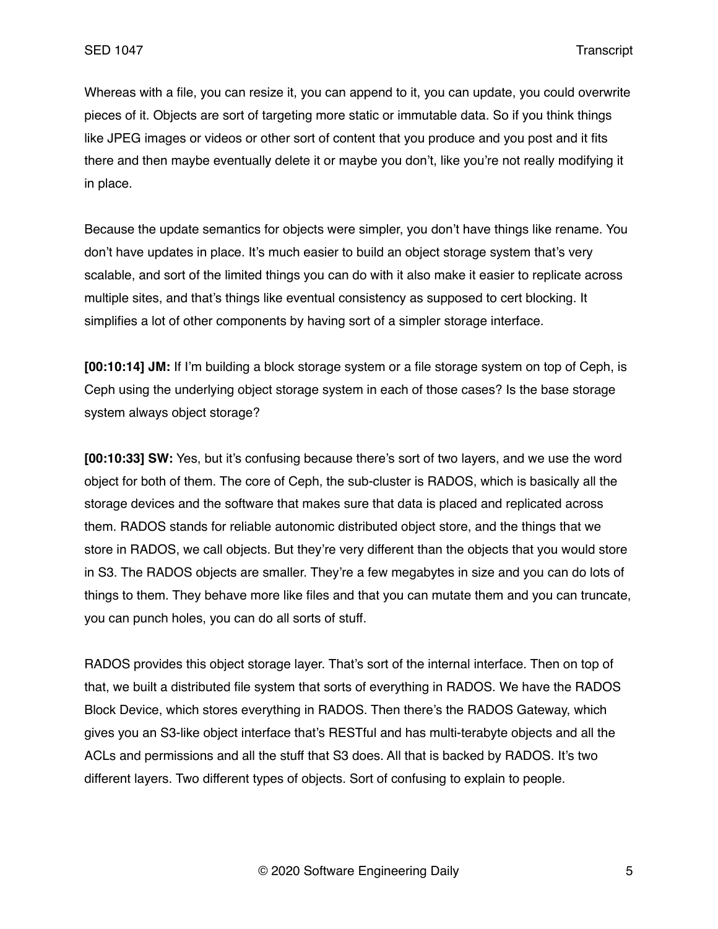Whereas with a file, you can resize it, you can append to it, you can update, you could overwrite pieces of it. Objects are sort of targeting more static or immutable data. So if you think things like JPEG images or videos or other sort of content that you produce and you post and it fits there and then maybe eventually delete it or maybe you don't, like you're not really modifying it in place.

Because the update semantics for objects were simpler, you don't have things like rename. You don't have updates in place. It's much easier to build an object storage system that's very scalable, and sort of the limited things you can do with it also make it easier to replicate across multiple sites, and that's things like eventual consistency as supposed to cert blocking. It simplifies a lot of other components by having sort of a simpler storage interface.

**[00:10:14] JM:** If I'm building a block storage system or a file storage system on top of Ceph, is Ceph using the underlying object storage system in each of those cases? Is the base storage system always object storage?

**[00:10:33] SW:** Yes, but it's confusing because there's sort of two layers, and we use the word object for both of them. The core of Ceph, the sub-cluster is RADOS, which is basically all the storage devices and the software that makes sure that data is placed and replicated across them. RADOS stands for reliable autonomic distributed object store, and the things that we store in RADOS, we call objects. But they're very different than the objects that you would store in S3. The RADOS objects are smaller. They're a few megabytes in size and you can do lots of things to them. They behave more like files and that you can mutate them and you can truncate, you can punch holes, you can do all sorts of stuff.

RADOS provides this object storage layer. That's sort of the internal interface. Then on top of that, we built a distributed file system that sorts of everything in RADOS. We have the RADOS Block Device, which stores everything in RADOS. Then there's the RADOS Gateway, which gives you an S3-like object interface that's RESTful and has multi-terabyte objects and all the ACLs and permissions and all the stuff that S3 does. All that is backed by RADOS. It's two different layers. Two different types of objects. Sort of confusing to explain to people.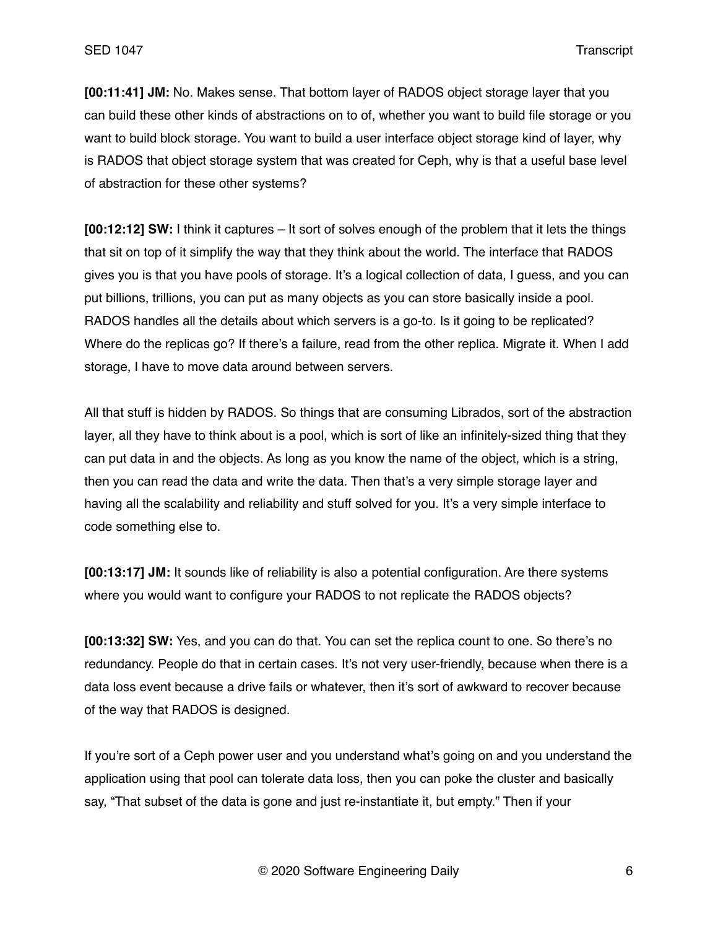**[00:11:41] JM:** No. Makes sense. That bottom layer of RADOS object storage layer that you can build these other kinds of abstractions on to of, whether you want to build file storage or you want to build block storage. You want to build a user interface object storage kind of layer, why is RADOS that object storage system that was created for Ceph, why is that a useful base level of abstraction for these other systems?

**[00:12:12] SW:** I think it captures – It sort of solves enough of the problem that it lets the things that sit on top of it simplify the way that they think about the world. The interface that RADOS gives you is that you have pools of storage. It's a logical collection of data, I guess, and you can put billions, trillions, you can put as many objects as you can store basically inside a pool. RADOS handles all the details about which servers is a go-to. Is it going to be replicated? Where do the replicas go? If there's a failure, read from the other replica. Migrate it. When I add storage, I have to move data around between servers.

All that stuff is hidden by RADOS. So things that are consuming Librados, sort of the abstraction layer, all they have to think about is a pool, which is sort of like an infinitely-sized thing that they can put data in and the objects. As long as you know the name of the object, which is a string, then you can read the data and write the data. Then that's a very simple storage layer and having all the scalability and reliability and stuff solved for you. It's a very simple interface to code something else to.

**[00:13:17] JM:** It sounds like of reliability is also a potential configuration. Are there systems where you would want to configure your RADOS to not replicate the RADOS objects?

**[00:13:32] SW:** Yes, and you can do that. You can set the replica count to one. So there's no redundancy. People do that in certain cases. It's not very user-friendly, because when there is a data loss event because a drive fails or whatever, then it's sort of awkward to recover because of the way that RADOS is designed.

If you're sort of a Ceph power user and you understand what's going on and you understand the application using that pool can tolerate data loss, then you can poke the cluster and basically say, "That subset of the data is gone and just re-instantiate it, but empty." Then if your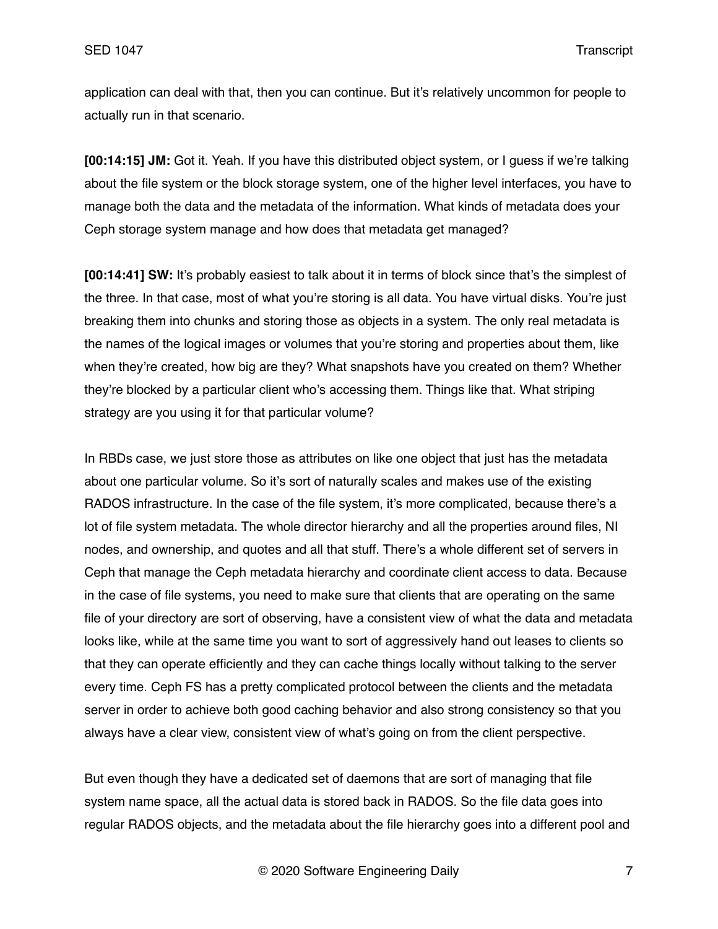application can deal with that, then you can continue. But it's relatively uncommon for people to actually run in that scenario.

**[00:14:15] JM:** Got it. Yeah. If you have this distributed object system, or I guess if we're talking about the file system or the block storage system, one of the higher level interfaces, you have to manage both the data and the metadata of the information. What kinds of metadata does your Ceph storage system manage and how does that metadata get managed?

**[00:14:41] SW:** It's probably easiest to talk about it in terms of block since that's the simplest of the three. In that case, most of what you're storing is all data. You have virtual disks. You're just breaking them into chunks and storing those as objects in a system. The only real metadata is the names of the logical images or volumes that you're storing and properties about them, like when they're created, how big are they? What snapshots have you created on them? Whether they're blocked by a particular client who's accessing them. Things like that. What striping strategy are you using it for that particular volume?

In RBDs case, we just store those as attributes on like one object that just has the metadata about one particular volume. So it's sort of naturally scales and makes use of the existing RADOS infrastructure. In the case of the file system, it's more complicated, because there's a lot of file system metadata. The whole director hierarchy and all the properties around files, NI nodes, and ownership, and quotes and all that stuff. There's a whole different set of servers in Ceph that manage the Ceph metadata hierarchy and coordinate client access to data. Because in the case of file systems, you need to make sure that clients that are operating on the same file of your directory are sort of observing, have a consistent view of what the data and metadata looks like, while at the same time you want to sort of aggressively hand out leases to clients so that they can operate efficiently and they can cache things locally without talking to the server every time. Ceph FS has a pretty complicated protocol between the clients and the metadata server in order to achieve both good caching behavior and also strong consistency so that you always have a clear view, consistent view of what's going on from the client perspective.

But even though they have a dedicated set of daemons that are sort of managing that file system name space, all the actual data is stored back in RADOS. So the file data goes into regular RADOS objects, and the metadata about the file hierarchy goes into a different pool and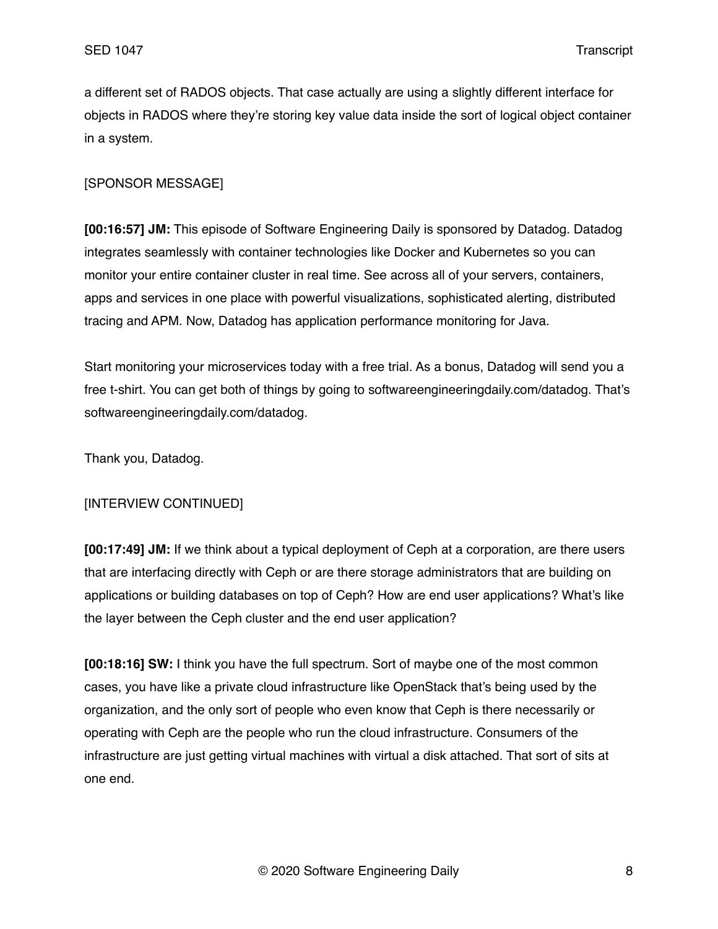a different set of RADOS objects. That case actually are using a slightly different interface for objects in RADOS where they're storing key value data inside the sort of logical object container in a system.

## [SPONSOR MESSAGE]

**[00:16:57] JM:** This episode of Software Engineering Daily is sponsored by Datadog. Datadog integrates seamlessly with container technologies like Docker and Kubernetes so you can monitor your entire container cluster in real time. See across all of your servers, containers, apps and services in one place with powerful visualizations, sophisticated alerting, distributed tracing and APM. Now, Datadog has application performance monitoring for Java.

Start monitoring your microservices today with a free trial. As a bonus, Datadog will send you a free t-shirt. You can get both of things by going to softwareengineeringdaily.com/datadog. That's softwareengineeringdaily.com/datadog.

Thank you, Datadog.

### [INTERVIEW CONTINUED]

**[00:17:49] JM:** If we think about a typical deployment of Ceph at a corporation, are there users that are interfacing directly with Ceph or are there storage administrators that are building on applications or building databases on top of Ceph? How are end user applications? What's like the layer between the Ceph cluster and the end user application?

**[00:18:16] SW:** I think you have the full spectrum. Sort of maybe one of the most common cases, you have like a private cloud infrastructure like OpenStack that's being used by the organization, and the only sort of people who even know that Ceph is there necessarily or operating with Ceph are the people who run the cloud infrastructure. Consumers of the infrastructure are just getting virtual machines with virtual a disk attached. That sort of sits at one end.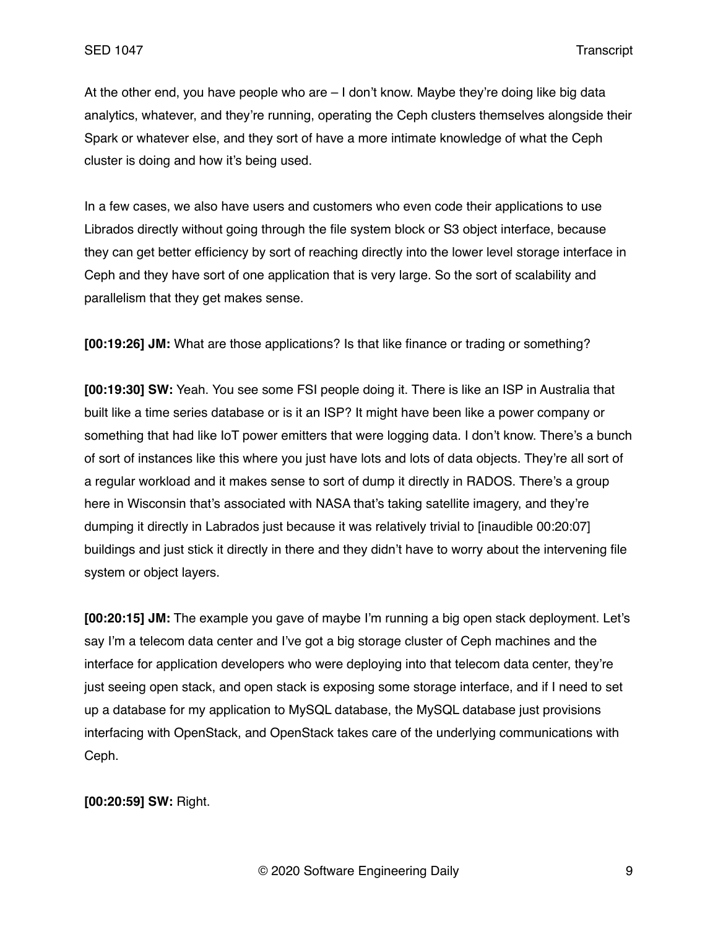At the other end, you have people who are – I don't know. Maybe they're doing like big data analytics, whatever, and they're running, operating the Ceph clusters themselves alongside their Spark or whatever else, and they sort of have a more intimate knowledge of what the Ceph cluster is doing and how it's being used.

In a few cases, we also have users and customers who even code their applications to use Librados directly without going through the file system block or S3 object interface, because they can get better efficiency by sort of reaching directly into the lower level storage interface in Ceph and they have sort of one application that is very large. So the sort of scalability and parallelism that they get makes sense.

**[00:19:26] JM:** What are those applications? Is that like finance or trading or something?

**[00:19:30] SW:** Yeah. You see some FSI people doing it. There is like an ISP in Australia that built like a time series database or is it an ISP? It might have been like a power company or something that had like IoT power emitters that were logging data. I don't know. There's a bunch of sort of instances like this where you just have lots and lots of data objects. They're all sort of a regular workload and it makes sense to sort of dump it directly in RADOS. There's a group here in Wisconsin that's associated with NASA that's taking satellite imagery, and they're dumping it directly in Labrados just because it was relatively trivial to [inaudible 00:20:07] buildings and just stick it directly in there and they didn't have to worry about the intervening file system or object layers.

**[00:20:15] JM:** The example you gave of maybe I'm running a big open stack deployment. Let's say I'm a telecom data center and I've got a big storage cluster of Ceph machines and the interface for application developers who were deploying into that telecom data center, they're just seeing open stack, and open stack is exposing some storage interface, and if I need to set up a database for my application to MySQL database, the MySQL database just provisions interfacing with OpenStack, and OpenStack takes care of the underlying communications with Ceph.

**[00:20:59] SW:** Right.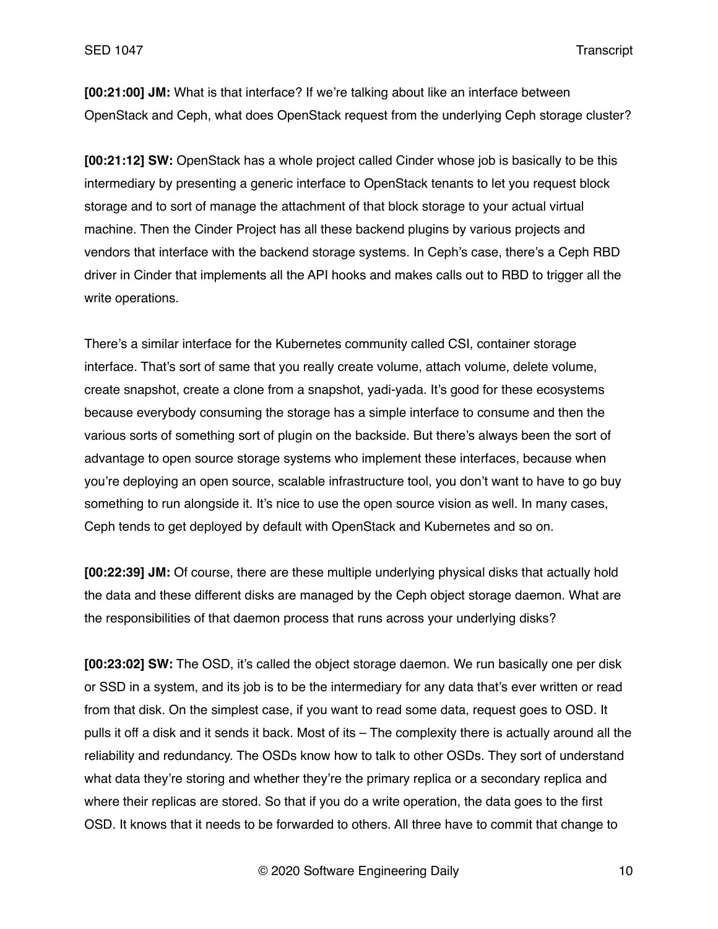**[00:21:00] JM:** What is that interface? If we're talking about like an interface between OpenStack and Ceph, what does OpenStack request from the underlying Ceph storage cluster?

**[00:21:12] SW:** OpenStack has a whole project called Cinder whose job is basically to be this intermediary by presenting a generic interface to OpenStack tenants to let you request block storage and to sort of manage the attachment of that block storage to your actual virtual machine. Then the Cinder Project has all these backend plugins by various projects and vendors that interface with the backend storage systems. In Ceph's case, there's a Ceph RBD driver in Cinder that implements all the API hooks and makes calls out to RBD to trigger all the write operations.

There's a similar interface for the Kubernetes community called CSI, container storage interface. That's sort of same that you really create volume, attach volume, delete volume, create snapshot, create a clone from a snapshot, yadi-yada. It's good for these ecosystems because everybody consuming the storage has a simple interface to consume and then the various sorts of something sort of plugin on the backside. But there's always been the sort of advantage to open source storage systems who implement these interfaces, because when you're deploying an open source, scalable infrastructure tool, you don't want to have to go buy something to run alongside it. It's nice to use the open source vision as well. In many cases, Ceph tends to get deployed by default with OpenStack and Kubernetes and so on.

**[00:22:39] JM:** Of course, there are these multiple underlying physical disks that actually hold the data and these different disks are managed by the Ceph object storage daemon. What are the responsibilities of that daemon process that runs across your underlying disks?

**[00:23:02] SW:** The OSD, it's called the object storage daemon. We run basically one per disk or SSD in a system, and its job is to be the intermediary for any data that's ever written or read from that disk. On the simplest case, if you want to read some data, request goes to OSD. It pulls it off a disk and it sends it back. Most of its – The complexity there is actually around all the reliability and redundancy. The OSDs know how to talk to other OSDs. They sort of understand what data they're storing and whether they're the primary replica or a secondary replica and where their replicas are stored. So that if you do a write operation, the data goes to the first OSD. It knows that it needs to be forwarded to others. All three have to commit that change to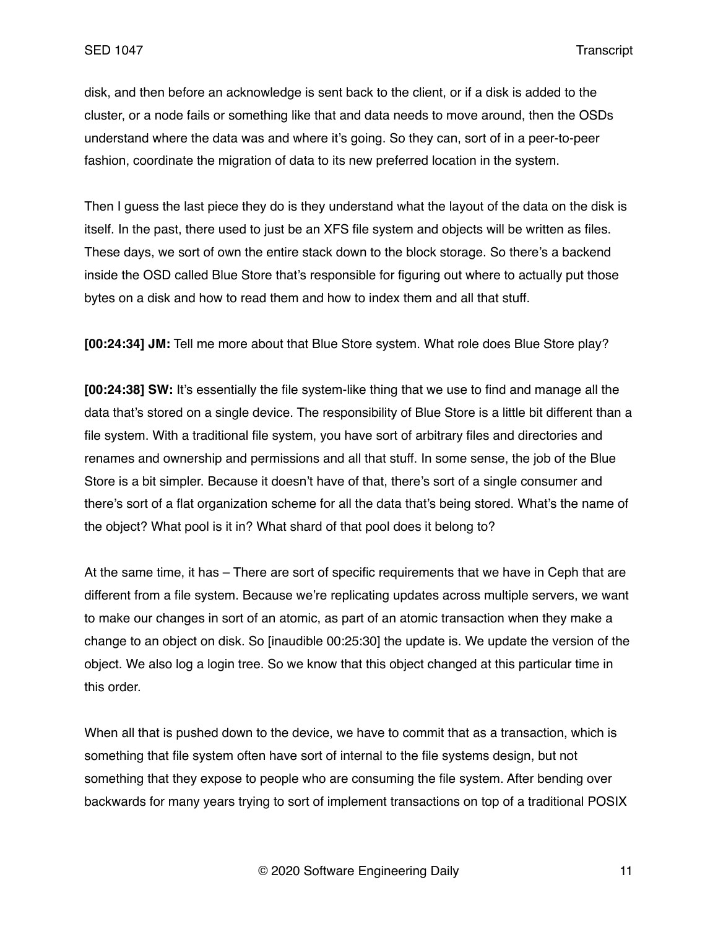disk, and then before an acknowledge is sent back to the client, or if a disk is added to the cluster, or a node fails or something like that and data needs to move around, then the OSDs understand where the data was and where it's going. So they can, sort of in a peer-to-peer fashion, coordinate the migration of data to its new preferred location in the system.

Then I guess the last piece they do is they understand what the layout of the data on the disk is itself. In the past, there used to just be an XFS file system and objects will be written as files. These days, we sort of own the entire stack down to the block storage. So there's a backend inside the OSD called Blue Store that's responsible for figuring out where to actually put those bytes on a disk and how to read them and how to index them and all that stuff.

**[00:24:34] JM:** Tell me more about that Blue Store system. What role does Blue Store play?

**[00:24:38] SW:** It's essentially the file system-like thing that we use to find and manage all the data that's stored on a single device. The responsibility of Blue Store is a little bit different than a file system. With a traditional file system, you have sort of arbitrary files and directories and renames and ownership and permissions and all that stuff. In some sense, the job of the Blue Store is a bit simpler. Because it doesn't have of that, there's sort of a single consumer and there's sort of a flat organization scheme for all the data that's being stored. What's the name of the object? What pool is it in? What shard of that pool does it belong to?

At the same time, it has – There are sort of specific requirements that we have in Ceph that are different from a file system. Because we're replicating updates across multiple servers, we want to make our changes in sort of an atomic, as part of an atomic transaction when they make a change to an object on disk. So [inaudible 00:25:30] the update is. We update the version of the object. We also log a login tree. So we know that this object changed at this particular time in this order.

When all that is pushed down to the device, we have to commit that as a transaction, which is something that file system often have sort of internal to the file systems design, but not something that they expose to people who are consuming the file system. After bending over backwards for many years trying to sort of implement transactions on top of a traditional POSIX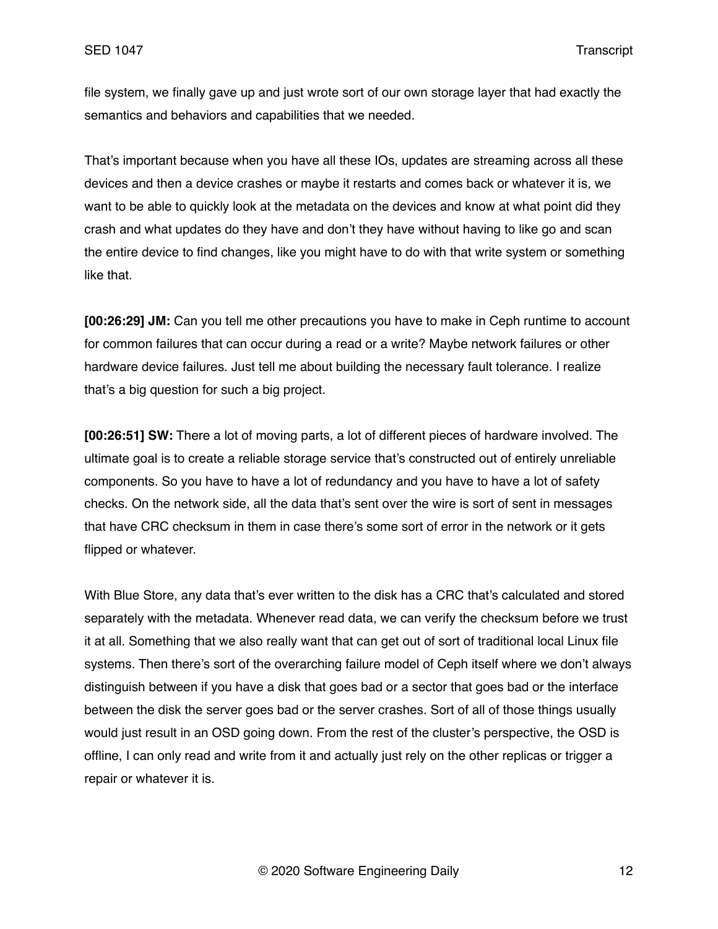file system, we finally gave up and just wrote sort of our own storage layer that had exactly the semantics and behaviors and capabilities that we needed.

That's important because when you have all these IOs, updates are streaming across all these devices and then a device crashes or maybe it restarts and comes back or whatever it is, we want to be able to quickly look at the metadata on the devices and know at what point did they crash and what updates do they have and don't they have without having to like go and scan the entire device to find changes, like you might have to do with that write system or something like that.

**[00:26:29] JM:** Can you tell me other precautions you have to make in Ceph runtime to account for common failures that can occur during a read or a write? Maybe network failures or other hardware device failures. Just tell me about building the necessary fault tolerance. I realize that's a big question for such a big project.

**[00:26:51] SW:** There a lot of moving parts, a lot of different pieces of hardware involved. The ultimate goal is to create a reliable storage service that's constructed out of entirely unreliable components. So you have to have a lot of redundancy and you have to have a lot of safety checks. On the network side, all the data that's sent over the wire is sort of sent in messages that have CRC checksum in them in case there's some sort of error in the network or it gets flipped or whatever.

With Blue Store, any data that's ever written to the disk has a CRC that's calculated and stored separately with the metadata. Whenever read data, we can verify the checksum before we trust it at all. Something that we also really want that can get out of sort of traditional local Linux file systems. Then there's sort of the overarching failure model of Ceph itself where we don't always distinguish between if you have a disk that goes bad or a sector that goes bad or the interface between the disk the server goes bad or the server crashes. Sort of all of those things usually would just result in an OSD going down. From the rest of the cluster's perspective, the OSD is offline, I can only read and write from it and actually just rely on the other replicas or trigger a repair or whatever it is.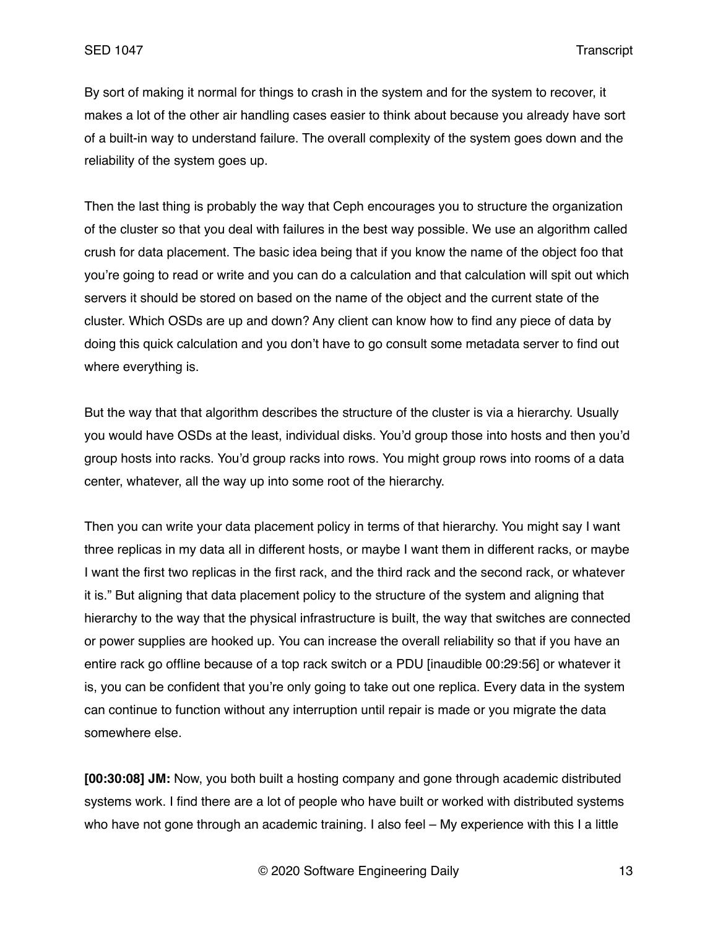By sort of making it normal for things to crash in the system and for the system to recover, it makes a lot of the other air handling cases easier to think about because you already have sort of a built-in way to understand failure. The overall complexity of the system goes down and the reliability of the system goes up.

Then the last thing is probably the way that Ceph encourages you to structure the organization of the cluster so that you deal with failures in the best way possible. We use an algorithm called crush for data placement. The basic idea being that if you know the name of the object foo that you're going to read or write and you can do a calculation and that calculation will spit out which servers it should be stored on based on the name of the object and the current state of the cluster. Which OSDs are up and down? Any client can know how to find any piece of data by doing this quick calculation and you don't have to go consult some metadata server to find out where everything is.

But the way that that algorithm describes the structure of the cluster is via a hierarchy. Usually you would have OSDs at the least, individual disks. You'd group those into hosts and then you'd group hosts into racks. You'd group racks into rows. You might group rows into rooms of a data center, whatever, all the way up into some root of the hierarchy.

Then you can write your data placement policy in terms of that hierarchy. You might say I want three replicas in my data all in different hosts, or maybe I want them in different racks, or maybe I want the first two replicas in the first rack, and the third rack and the second rack, or whatever it is." But aligning that data placement policy to the structure of the system and aligning that hierarchy to the way that the physical infrastructure is built, the way that switches are connected or power supplies are hooked up. You can increase the overall reliability so that if you have an entire rack go offline because of a top rack switch or a PDU [inaudible 00:29:56] or whatever it is, you can be confident that you're only going to take out one replica. Every data in the system can continue to function without any interruption until repair is made or you migrate the data somewhere else.

**[00:30:08] JM:** Now, you both built a hosting company and gone through academic distributed systems work. I find there are a lot of people who have built or worked with distributed systems who have not gone through an academic training. I also feel – My experience with this I a little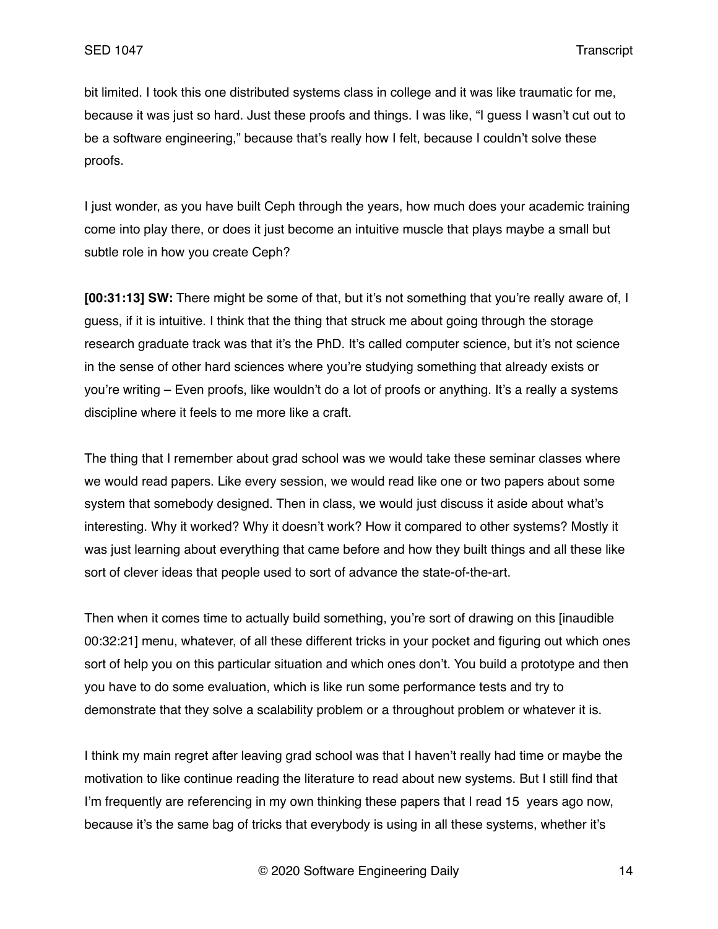bit limited. I took this one distributed systems class in college and it was like traumatic for me, because it was just so hard. Just these proofs and things. I was like, "I guess I wasn't cut out to be a software engineering," because that's really how I felt, because I couldn't solve these proofs.

I just wonder, as you have built Ceph through the years, how much does your academic training come into play there, or does it just become an intuitive muscle that plays maybe a small but subtle role in how you create Ceph?

**[00:31:13] SW:** There might be some of that, but it's not something that you're really aware of, I guess, if it is intuitive. I think that the thing that struck me about going through the storage research graduate track was that it's the PhD. It's called computer science, but it's not science in the sense of other hard sciences where you're studying something that already exists or you're writing – Even proofs, like wouldn't do a lot of proofs or anything. It's a really a systems discipline where it feels to me more like a craft.

The thing that I remember about grad school was we would take these seminar classes where we would read papers. Like every session, we would read like one or two papers about some system that somebody designed. Then in class, we would just discuss it aside about what's interesting. Why it worked? Why it doesn't work? How it compared to other systems? Mostly it was just learning about everything that came before and how they built things and all these like sort of clever ideas that people used to sort of advance the state-of-the-art.

Then when it comes time to actually build something, you're sort of drawing on this [inaudible 00:32:21] menu, whatever, of all these different tricks in your pocket and figuring out which ones sort of help you on this particular situation and which ones don't. You build a prototype and then you have to do some evaluation, which is like run some performance tests and try to demonstrate that they solve a scalability problem or a throughout problem or whatever it is.

I think my main regret after leaving grad school was that I haven't really had time or maybe the motivation to like continue reading the literature to read about new systems. But I still find that I'm frequently are referencing in my own thinking these papers that I read 15 years ago now, because it's the same bag of tricks that everybody is using in all these systems, whether it's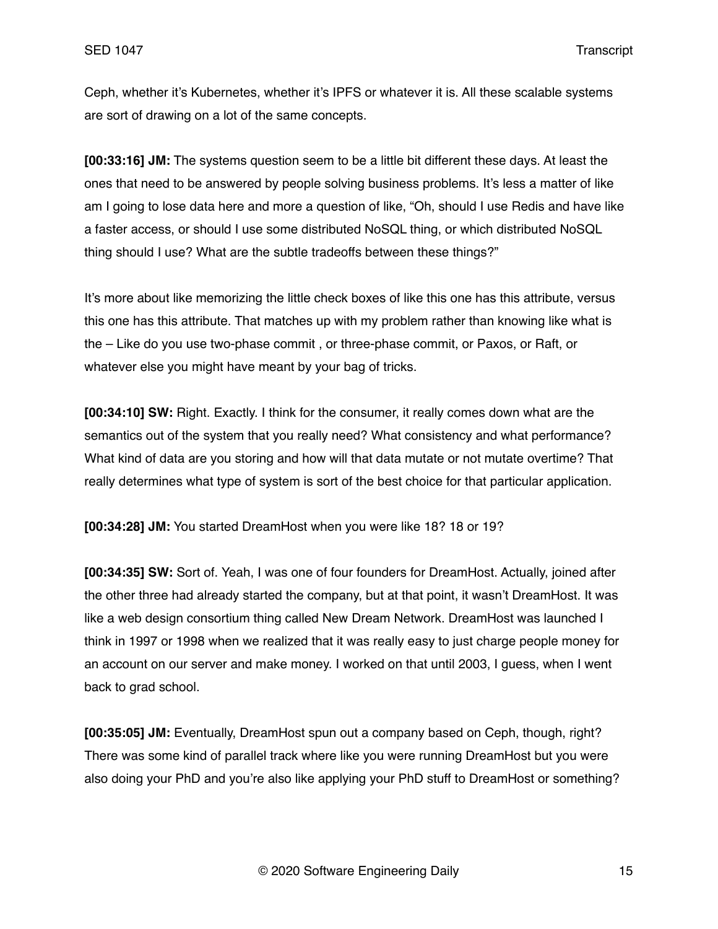Ceph, whether it's Kubernetes, whether it's IPFS or whatever it is. All these scalable systems are sort of drawing on a lot of the same concepts.

**[00:33:16] JM:** The systems question seem to be a little bit different these days. At least the ones that need to be answered by people solving business problems. It's less a matter of like am I going to lose data here and more a question of like, "Oh, should I use Redis and have like a faster access, or should I use some distributed NoSQL thing, or which distributed NoSQL thing should I use? What are the subtle tradeoffs between these things?"

It's more about like memorizing the little check boxes of like this one has this attribute, versus this one has this attribute. That matches up with my problem rather than knowing like what is the – Like do you use two-phase commit , or three-phase commit, or Paxos, or Raft, or whatever else you might have meant by your bag of tricks.

**[00:34:10] SW:** Right. Exactly. I think for the consumer, it really comes down what are the semantics out of the system that you really need? What consistency and what performance? What kind of data are you storing and how will that data mutate or not mutate overtime? That really determines what type of system is sort of the best choice for that particular application.

**[00:34:28] JM:** You started DreamHost when you were like 18? 18 or 19?

**[00:34:35] SW:** Sort of. Yeah, I was one of four founders for DreamHost. Actually, joined after the other three had already started the company, but at that point, it wasn't DreamHost. It was like a web design consortium thing called New Dream Network. DreamHost was launched I think in 1997 or 1998 when we realized that it was really easy to just charge people money for an account on our server and make money. I worked on that until 2003, I guess, when I went back to grad school.

**[00:35:05] JM:** Eventually, DreamHost spun out a company based on Ceph, though, right? There was some kind of parallel track where like you were running DreamHost but you were also doing your PhD and you're also like applying your PhD stuff to DreamHost or something?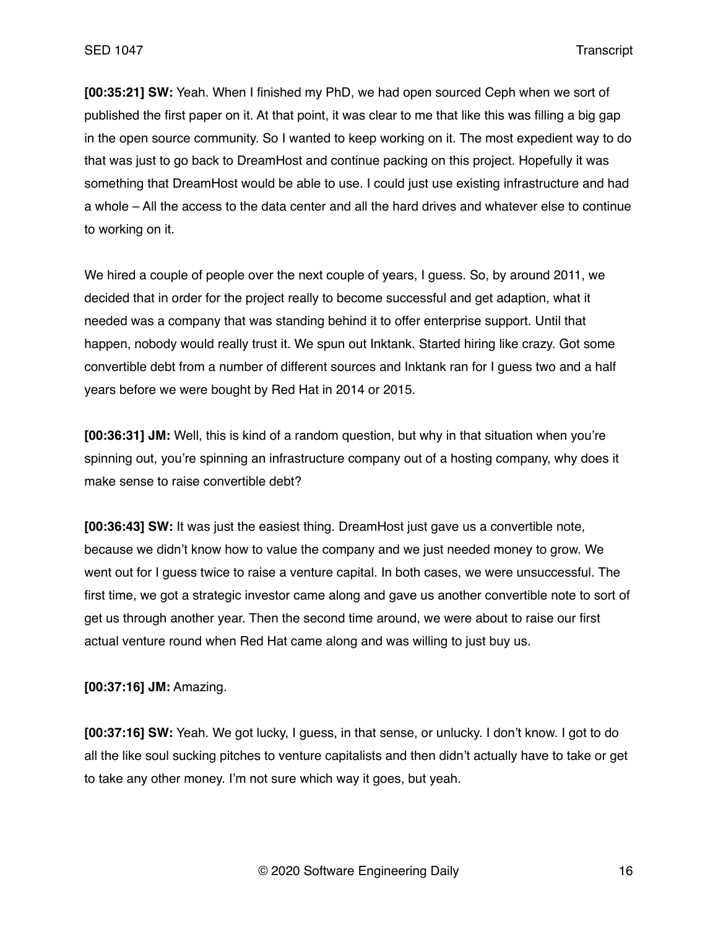**[00:35:21] SW:** Yeah. When I finished my PhD, we had open sourced Ceph when we sort of published the first paper on it. At that point, it was clear to me that like this was filling a big gap in the open source community. So I wanted to keep working on it. The most expedient way to do that was just to go back to DreamHost and continue packing on this project. Hopefully it was something that DreamHost would be able to use. I could just use existing infrastructure and had a whole – All the access to the data center and all the hard drives and whatever else to continue to working on it.

We hired a couple of people over the next couple of years, I guess. So, by around 2011, we decided that in order for the project really to become successful and get adaption, what it needed was a company that was standing behind it to offer enterprise support. Until that happen, nobody would really trust it. We spun out Inktank. Started hiring like crazy. Got some convertible debt from a number of different sources and Inktank ran for I guess two and a half years before we were bought by Red Hat in 2014 or 2015.

**[00:36:31] JM:** Well, this is kind of a random question, but why in that situation when you're spinning out, you're spinning an infrastructure company out of a hosting company, why does it make sense to raise convertible debt?

**[00:36:43] SW:** It was just the easiest thing. DreamHost just gave us a convertible note, because we didn't know how to value the company and we just needed money to grow. We went out for I guess twice to raise a venture capital. In both cases, we were unsuccessful. The first time, we got a strategic investor came along and gave us another convertible note to sort of get us through another year. Then the second time around, we were about to raise our first actual venture round when Red Hat came along and was willing to just buy us.

**[00:37:16] JM:** Amazing.

**[00:37:16] SW:** Yeah. We got lucky, I guess, in that sense, or unlucky. I don't know. I got to do all the like soul sucking pitches to venture capitalists and then didn't actually have to take or get to take any other money. I'm not sure which way it goes, but yeah.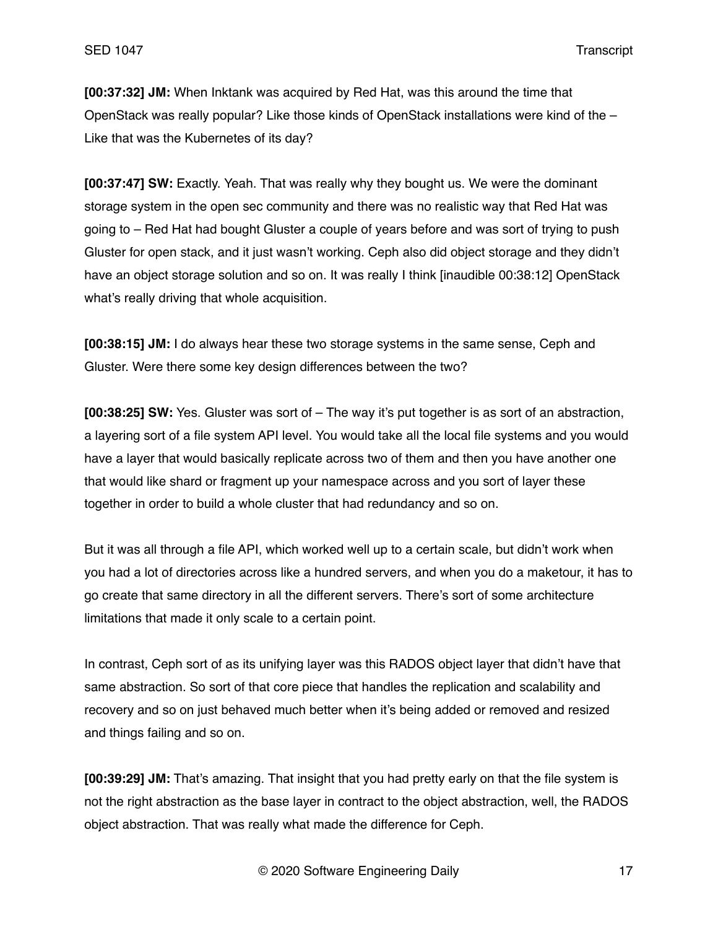**[00:37:32] JM:** When Inktank was acquired by Red Hat, was this around the time that OpenStack was really popular? Like those kinds of OpenStack installations were kind of the – Like that was the Kubernetes of its day?

**[00:37:47] SW:** Exactly. Yeah. That was really why they bought us. We were the dominant storage system in the open sec community and there was no realistic way that Red Hat was going to – Red Hat had bought Gluster a couple of years before and was sort of trying to push Gluster for open stack, and it just wasn't working. Ceph also did object storage and they didn't have an object storage solution and so on. It was really I think [inaudible 00:38:12] OpenStack what's really driving that whole acquisition.

**[00:38:15] JM:** I do always hear these two storage systems in the same sense, Ceph and Gluster. Were there some key design differences between the two?

**[00:38:25] SW:** Yes. Gluster was sort of – The way it's put together is as sort of an abstraction, a layering sort of a file system API level. You would take all the local file systems and you would have a layer that would basically replicate across two of them and then you have another one that would like shard or fragment up your namespace across and you sort of layer these together in order to build a whole cluster that had redundancy and so on.

But it was all through a file API, which worked well up to a certain scale, but didn't work when you had a lot of directories across like a hundred servers, and when you do a maketour, it has to go create that same directory in all the different servers. There's sort of some architecture limitations that made it only scale to a certain point.

In contrast, Ceph sort of as its unifying layer was this RADOS object layer that didn't have that same abstraction. So sort of that core piece that handles the replication and scalability and recovery and so on just behaved much better when it's being added or removed and resized and things failing and so on.

**[00:39:29] JM:** That's amazing. That insight that you had pretty early on that the file system is not the right abstraction as the base layer in contract to the object abstraction, well, the RADOS object abstraction. That was really what made the difference for Ceph.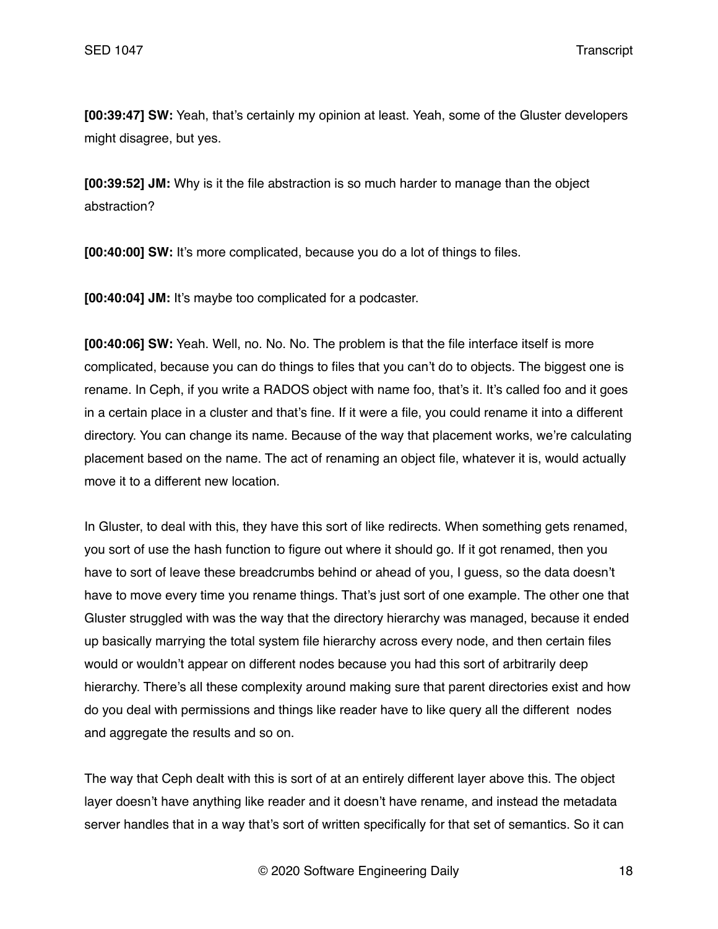**[00:39:47] SW:** Yeah, that's certainly my opinion at least. Yeah, some of the Gluster developers might disagree, but yes.

**[00:39:52] JM:** Why is it the file abstraction is so much harder to manage than the object abstraction?

**[00:40:00] SW:** It's more complicated, because you do a lot of things to files.

**[00:40:04] JM:** It's maybe too complicated for a podcaster.

**[00:40:06] SW:** Yeah. Well, no. No. No. The problem is that the file interface itself is more complicated, because you can do things to files that you can't do to objects. The biggest one is rename. In Ceph, if you write a RADOS object with name foo, that's it. It's called foo and it goes in a certain place in a cluster and that's fine. If it were a file, you could rename it into a different directory. You can change its name. Because of the way that placement works, we're calculating placement based on the name. The act of renaming an object file, whatever it is, would actually move it to a different new location.

In Gluster, to deal with this, they have this sort of like redirects. When something gets renamed, you sort of use the hash function to figure out where it should go. If it got renamed, then you have to sort of leave these breadcrumbs behind or ahead of you, I guess, so the data doesn't have to move every time you rename things. That's just sort of one example. The other one that Gluster struggled with was the way that the directory hierarchy was managed, because it ended up basically marrying the total system file hierarchy across every node, and then certain files would or wouldn't appear on different nodes because you had this sort of arbitrarily deep hierarchy. There's all these complexity around making sure that parent directories exist and how do you deal with permissions and things like reader have to like query all the different nodes and aggregate the results and so on.

The way that Ceph dealt with this is sort of at an entirely different layer above this. The object layer doesn't have anything like reader and it doesn't have rename, and instead the metadata server handles that in a way that's sort of written specifically for that set of semantics. So it can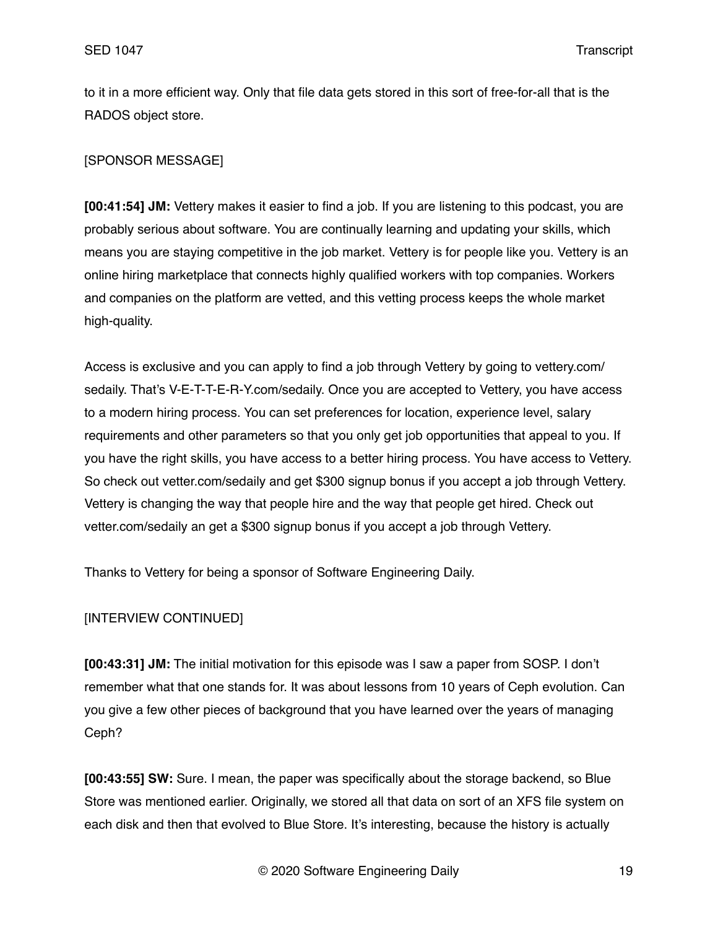to it in a more efficient way. Only that file data gets stored in this sort of free-for-all that is the RADOS object store.

# [SPONSOR MESSAGE]

**[00:41:54] JM:** Vettery makes it easier to find a job. If you are listening to this podcast, you are probably serious about software. You are continually learning and updating your skills, which means you are staying competitive in the job market. Vettery is for people like you. Vettery is an online hiring marketplace that connects highly qualified workers with top companies. Workers and companies on the platform are vetted, and this vetting process keeps the whole market high-quality.

Access is exclusive and you can apply to find a job through Vettery by going to vettery.com/ sedaily. That's V-E-T-T-E-R-Y.com/sedaily. Once you are accepted to Vettery, you have access to a modern hiring process. You can set preferences for location, experience level, salary requirements and other parameters so that you only get job opportunities that appeal to you. If you have the right skills, you have access to a better hiring process. You have access to Vettery. So check out vetter.com/sedaily and get \$300 signup bonus if you accept a job through Vettery. Vettery is changing the way that people hire and the way that people get hired. Check out vetter.com/sedaily an get a \$300 signup bonus if you accept a job through Vettery.

Thanks to Vettery for being a sponsor of Software Engineering Daily.

## [INTERVIEW CONTINUED]

**[00:43:31] JM:** The initial motivation for this episode was I saw a paper from SOSP. I don't remember what that one stands for. It was about lessons from 10 years of Ceph evolution. Can you give a few other pieces of background that you have learned over the years of managing Ceph?

**[00:43:55] SW:** Sure. I mean, the paper was specifically about the storage backend, so Blue Store was mentioned earlier. Originally, we stored all that data on sort of an XFS file system on each disk and then that evolved to Blue Store. It's interesting, because the history is actually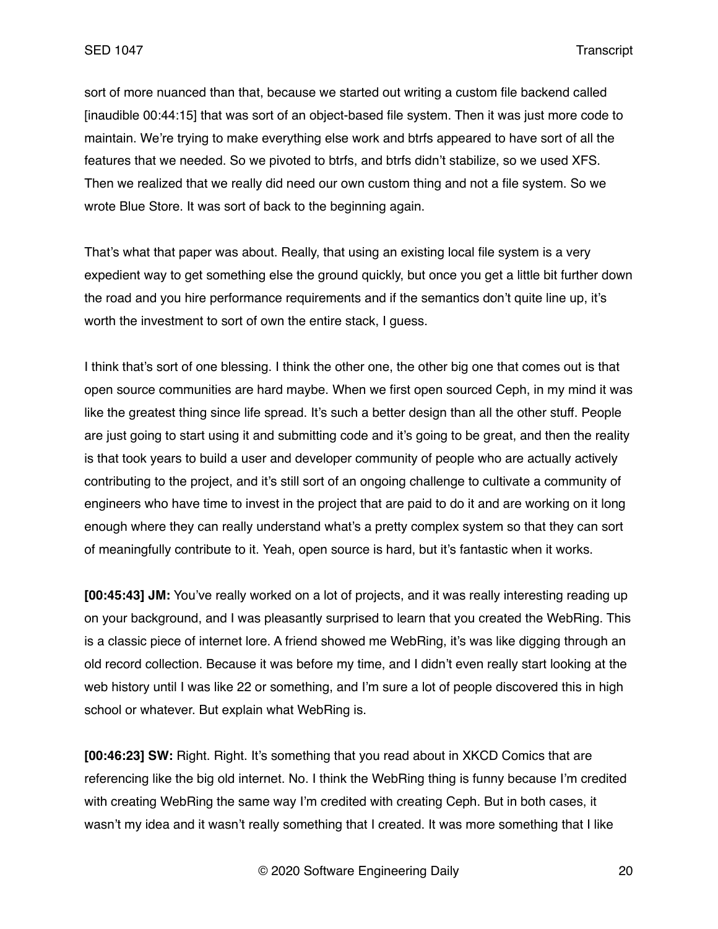sort of more nuanced than that, because we started out writing a custom file backend called [inaudible 00:44:15] that was sort of an object-based file system. Then it was just more code to maintain. We're trying to make everything else work and btrfs appeared to have sort of all the features that we needed. So we pivoted to btrfs, and btrfs didn't stabilize, so we used XFS. Then we realized that we really did need our own custom thing and not a file system. So we wrote Blue Store. It was sort of back to the beginning again.

That's what that paper was about. Really, that using an existing local file system is a very expedient way to get something else the ground quickly, but once you get a little bit further down the road and you hire performance requirements and if the semantics don't quite line up, it's worth the investment to sort of own the entire stack, I guess.

I think that's sort of one blessing. I think the other one, the other big one that comes out is that open source communities are hard maybe. When we first open sourced Ceph, in my mind it was like the greatest thing since life spread. It's such a better design than all the other stuff. People are just going to start using it and submitting code and it's going to be great, and then the reality is that took years to build a user and developer community of people who are actually actively contributing to the project, and it's still sort of an ongoing challenge to cultivate a community of engineers who have time to invest in the project that are paid to do it and are working on it long enough where they can really understand what's a pretty complex system so that they can sort of meaningfully contribute to it. Yeah, open source is hard, but it's fantastic when it works.

**[00:45:43] JM:** You've really worked on a lot of projects, and it was really interesting reading up on your background, and I was pleasantly surprised to learn that you created the WebRing. This is a classic piece of internet lore. A friend showed me WebRing, it's was like digging through an old record collection. Because it was before my time, and I didn't even really start looking at the web history until I was like 22 or something, and I'm sure a lot of people discovered this in high school or whatever. But explain what WebRing is.

**[00:46:23] SW:** Right. Right. It's something that you read about in XKCD Comics that are referencing like the big old internet. No. I think the WebRing thing is funny because I'm credited with creating WebRing the same way I'm credited with creating Ceph. But in both cases, it wasn't my idea and it wasn't really something that I created. It was more something that I like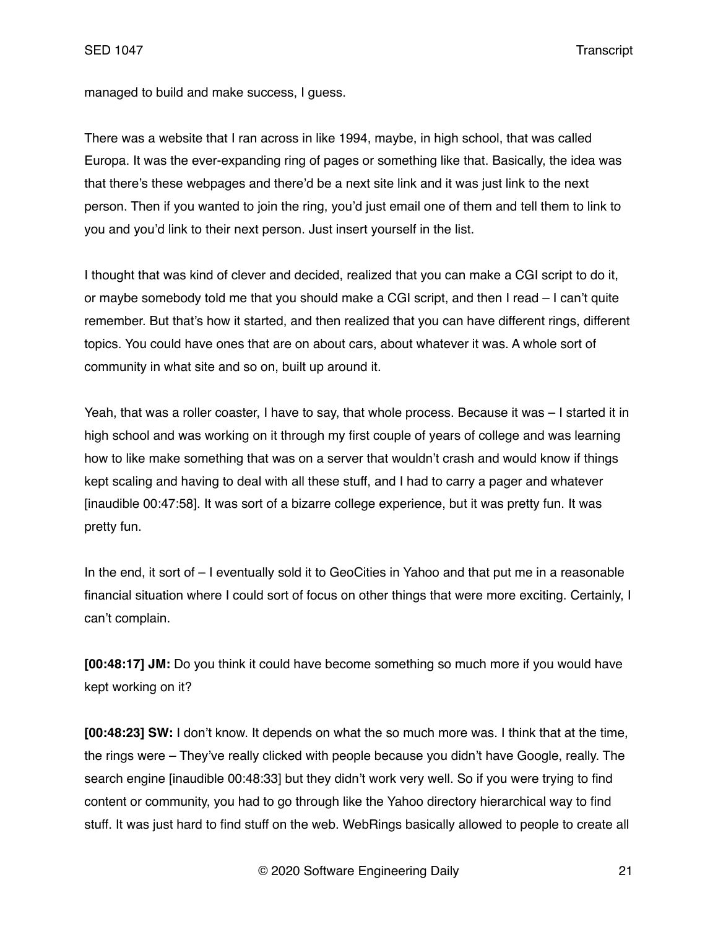managed to build and make success, I guess.

There was a website that I ran across in like 1994, maybe, in high school, that was called Europa. It was the ever-expanding ring of pages or something like that. Basically, the idea was that there's these webpages and there'd be a next site link and it was just link to the next person. Then if you wanted to join the ring, you'd just email one of them and tell them to link to you and you'd link to their next person. Just insert yourself in the list.

I thought that was kind of clever and decided, realized that you can make a CGI script to do it, or maybe somebody told me that you should make a CGI script, and then I read – I can't quite remember. But that's how it started, and then realized that you can have different rings, different topics. You could have ones that are on about cars, about whatever it was. A whole sort of community in what site and so on, built up around it.

Yeah, that was a roller coaster, I have to say, that whole process. Because it was – I started it in high school and was working on it through my first couple of years of college and was learning how to like make something that was on a server that wouldn't crash and would know if things kept scaling and having to deal with all these stuff, and I had to carry a pager and whatever [inaudible 00:47:58]. It was sort of a bizarre college experience, but it was pretty fun. It was pretty fun.

In the end, it sort of – I eventually sold it to GeoCities in Yahoo and that put me in a reasonable financial situation where I could sort of focus on other things that were more exciting. Certainly, I can't complain.

**[00:48:17] JM:** Do you think it could have become something so much more if you would have kept working on it?

**[00:48:23] SW:** I don't know. It depends on what the so much more was. I think that at the time, the rings were – They've really clicked with people because you didn't have Google, really. The search engine [inaudible 00:48:33] but they didn't work very well. So if you were trying to find content or community, you had to go through like the Yahoo directory hierarchical way to find stuff. It was just hard to find stuff on the web. WebRings basically allowed to people to create all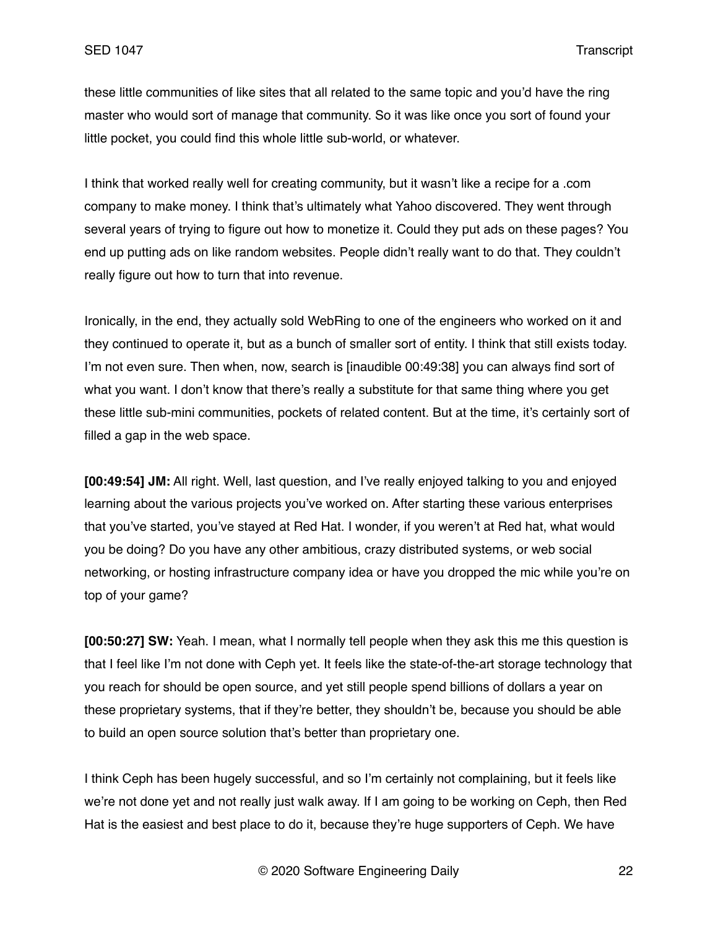these little communities of like sites that all related to the same topic and you'd have the ring master who would sort of manage that community. So it was like once you sort of found your little pocket, you could find this whole little sub-world, or whatever.

I think that worked really well for creating community, but it wasn't like a recipe for a .com company to make money. I think that's ultimately what Yahoo discovered. They went through several years of trying to figure out how to monetize it. Could they put ads on these pages? You end up putting ads on like random websites. People didn't really want to do that. They couldn't really figure out how to turn that into revenue.

Ironically, in the end, they actually sold WebRing to one of the engineers who worked on it and they continued to operate it, but as a bunch of smaller sort of entity. I think that still exists today. I'm not even sure. Then when, now, search is [inaudible 00:49:38] you can always find sort of what you want. I don't know that there's really a substitute for that same thing where you get these little sub-mini communities, pockets of related content. But at the time, it's certainly sort of filled a gap in the web space.

**[00:49:54] JM:** All right. Well, last question, and I've really enjoyed talking to you and enjoyed learning about the various projects you've worked on. After starting these various enterprises that you've started, you've stayed at Red Hat. I wonder, if you weren't at Red hat, what would you be doing? Do you have any other ambitious, crazy distributed systems, or web social networking, or hosting infrastructure company idea or have you dropped the mic while you're on top of your game?

**[00:50:27] SW:** Yeah. I mean, what I normally tell people when they ask this me this question is that I feel like I'm not done with Ceph yet. It feels like the state-of-the-art storage technology that you reach for should be open source, and yet still people spend billions of dollars a year on these proprietary systems, that if they're better, they shouldn't be, because you should be able to build an open source solution that's better than proprietary one.

I think Ceph has been hugely successful, and so I'm certainly not complaining, but it feels like we're not done yet and not really just walk away. If I am going to be working on Ceph, then Red Hat is the easiest and best place to do it, because they're huge supporters of Ceph. We have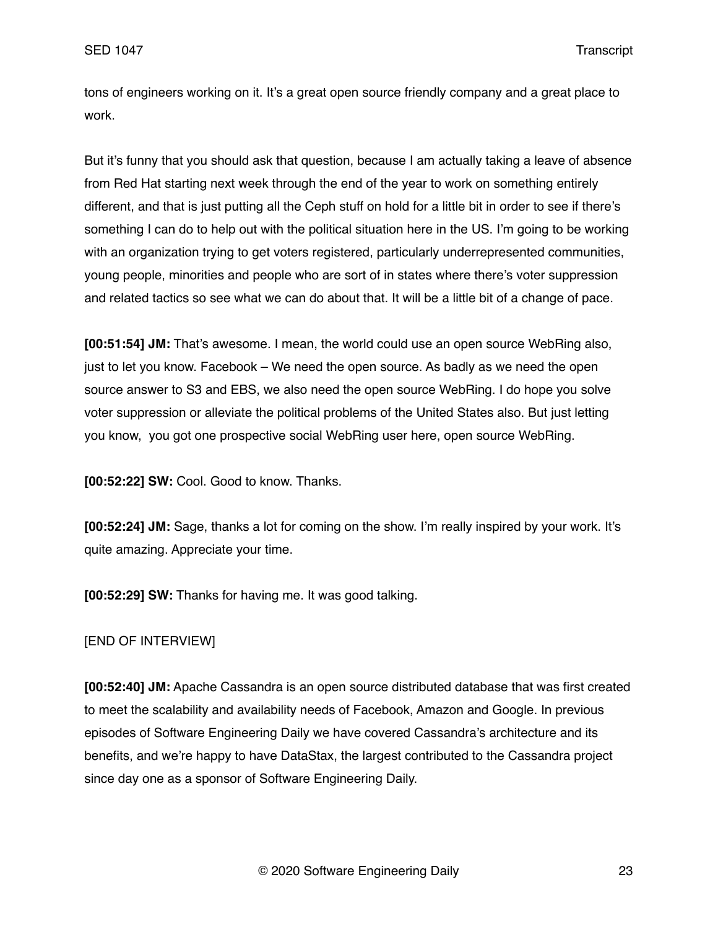tons of engineers working on it. It's a great open source friendly company and a great place to work.

But it's funny that you should ask that question, because I am actually taking a leave of absence from Red Hat starting next week through the end of the year to work on something entirely different, and that is just putting all the Ceph stuff on hold for a little bit in order to see if there's something I can do to help out with the political situation here in the US. I'm going to be working with an organization trying to get voters registered, particularly underrepresented communities, young people, minorities and people who are sort of in states where there's voter suppression and related tactics so see what we can do about that. It will be a little bit of a change of pace.

**[00:51:54] JM:** That's awesome. I mean, the world could use an open source WebRing also, just to let you know. Facebook – We need the open source. As badly as we need the open source answer to S3 and EBS, we also need the open source WebRing. I do hope you solve voter suppression or alleviate the political problems of the United States also. But just letting you know, you got one prospective social WebRing user here, open source WebRing.

**[00:52:22] SW:** Cool. Good to know. Thanks.

**[00:52:24] JM:** Sage, thanks a lot for coming on the show. I'm really inspired by your work. It's quite amazing. Appreciate your time.

**[00:52:29] SW:** Thanks for having me. It was good talking.

## [END OF INTERVIEW]

**[00:52:40] JM:** Apache Cassandra is an open source distributed database that was first created to meet the scalability and availability needs of Facebook, Amazon and Google. In previous episodes of Software Engineering Daily we have covered Cassandra's architecture and its benefits, and we're happy to have DataStax, the largest contributed to the Cassandra project since day one as a sponsor of Software Engineering Daily.